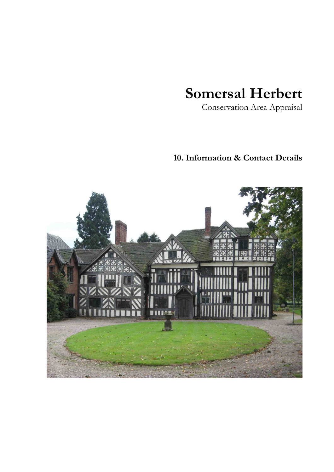# **Somersal Herbert**

Conservation Area Appraisal

# **10. Information & Contact Details**